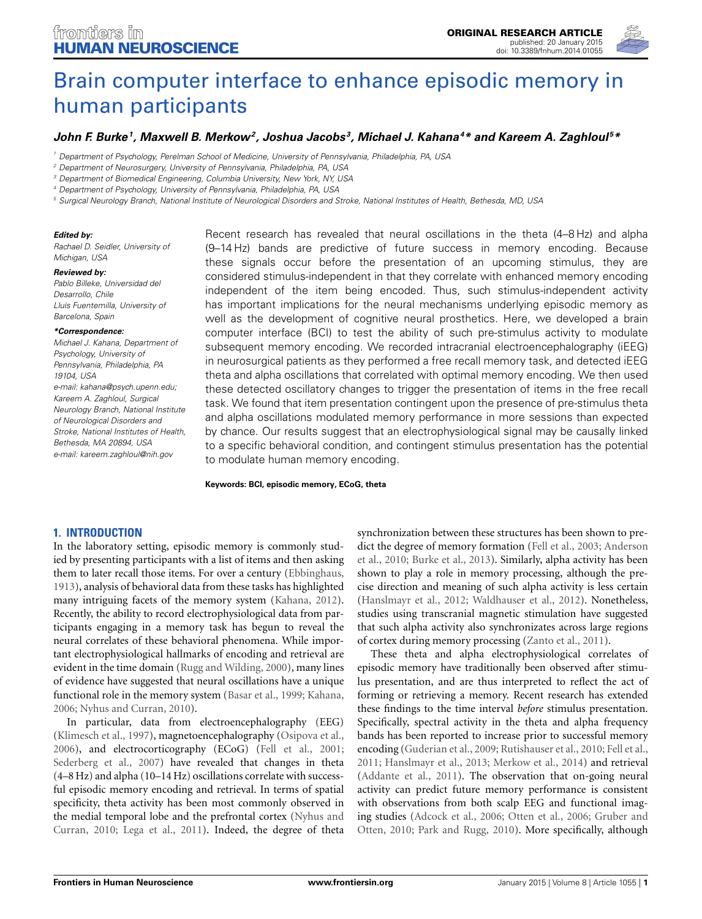

# [Brain computer interface to enhance episodic memory in](http://www.frontiersin.org/journal/10.3389/fnhum.2014.01055/abstract) human participants

## *[John F. Burke](http://community.frontiersin.org/people/u/133822)1, Maxwell B. Merkow2, Joshua Jacobs 3, [Michael J. Kahana](http://community.frontiersin.org/people/u/1723)4 \* and [Kareem A. Zaghloul](http://community.frontiersin.org/people/u/187294) <sup>5</sup> \**

*<sup>1</sup> Department of Psychology, Perelman School of Medicine, University of Pennsylvania, Philadelphia, PA, USA*

*<sup>4</sup> Department of Psychology, University of Pennsylvania, Philadelphia, PA, USA*

*<sup>5</sup> Surgical Neurology Branch, National Institute of Neurological Disorders and Stroke, National Institutes of Health, Bethesda, MD, USA*

#### *Edited by:*

*Rachael D. Seidler, University of Michigan, USA*

*Reviewed by: Pablo Billeke, Universidad del Desarrollo, Chile Lluís Fuentemilla, University of Barcelona, Spain*

#### *\*Correspondence:*

*Michael J. Kahana, Department of Psychology, University of Pennsylvania, Philadelphia, PA 19104, USA e-mail: [kahana@psych.upenn.edu;](mailto:kahana@psych.upenn.edu) Kareem A. Zaghloul, Surgical Neurology Branch, National Institute of Neurological Disorders and Stroke, National Institutes of Health, Bethesda, MA 20894, USA e-mail: [kareem.zaghloul@nih.gov](mailto:kareem.zaghloul@nih.gov)*

Recent research has revealed that neural oscillations in the theta (4–8 Hz) and alpha (9–14 Hz) bands are predictive of future success in memory encoding. Because these signals occur before the presentation of an upcoming stimulus, they are considered stimulus-independent in that they correlate with enhanced memory encoding independent of the item being encoded. Thus, such stimulus-independent activity has important implications for the neural mechanisms underlying episodic memory as well as the development of cognitive neural prosthetics. Here, we developed a brain computer interface (BCI) to test the ability of such pre-stimulus activity to modulate subsequent memory encoding. We recorded intracranial electroencephalography (iEEG) in neurosurgical patients as they performed a free recall memory task, and detected iEEG theta and alpha oscillations that correlated with optimal memory encoding. We then used these detected oscillatory changes to trigger the presentation of items in the free recall task. We found that item presentation contingent upon the presence of pre-stimulus theta and alpha oscillations modulated memory performance in more sessions than expected by chance. Our results suggest that an electrophysiological signal may be causally linked to a specific behavioral condition, and contingent stimulus presentation has the potential to modulate human memory encoding.

**Keywords: BCI, episodic memory, ECoG, theta**

## **1. INTRODUCTION**

In the laboratory setting, episodic memory is commonly studied by presenting participants with a list of items and then asking them to later recall those items. For over a century [\(Ebbinghaus,](#page-8-0) [1913](#page-8-0)), analysis of behavioral data from these tasks has highlighted many intriguing facets of the memory system [\(Kahana, 2012](#page-8-1)). Recently, the ability to record electrophysiological data from participants engaging in a memory task has begun to reveal the neural correlates of these behavioral phenomena. While important electrophysiological hallmarks of encoding and retrieval are evident in the time domain [\(Rugg and Wilding](#page-9-0), [2000\)](#page-9-0), many lines of evidence have suggested that neural oscillations have a unique functional role in the memory system [\(Basar et al., 1999](#page-8-2); [Kahana,](#page-8-3) [2006](#page-8-3); [Nyhus and Curran, 2010\)](#page-8-4).

In particular, data from electroencephalography (EEG) [\(Klimesch et al.](#page-8-5), [1997\)](#page-8-5), magnetoencephalography [\(Osipova et al.,](#page-8-6) [2006](#page-8-6)), and electrocorticography (ECoG) [\(Fell et al., 2001;](#page-8-7) [Sederberg et al., 2007\)](#page-9-1) have revealed that changes in theta (4–8 Hz) and alpha (10–14 Hz) oscillations correlate with successful episodic memory encoding and retrieval. In terms of spatial specificity, theta activity has been most commonly observed in the me[dial temporal lobe and the prefrontal cortex \(](#page-8-4)Nyhus and Curran, [2010;](#page-8-4) [Lega et al., 2011\)](#page-8-8). Indeed, the degree of theta

synchronization between these structures has been shown to predict [the degree of memory formation](#page-8-10) [\(Fell et al.](#page-8-9)[,](#page-8-10) [2003](#page-8-9)[;](#page-8-10) Anderson et al., [2010;](#page-8-10) [Burke et al.](#page-8-11), [2013](#page-8-11)). Similarly, alpha activity has been shown to play a role in memory processing, although the precise direction and meaning of such alpha activity is less certain [\(Hanslmayr et al.](#page-8-12), [2012](#page-8-12); [Waldhauser et al.](#page-9-2), [2012](#page-9-2)). Nonetheless, studies using transcranial magnetic stimulation have suggested that such alpha activity also synchronizates across large regions of cortex during memory processing [\(Zanto et al., 2011\)](#page-9-3).

These theta and alpha electrophysiological correlates of episodic memory have traditionally been observed after stimulus presentation, and are thus interpreted to reflect the act of forming or retrieving a memory. Recent research has extended these findings to the time interval *before* stimulus presentation. Specifically, spectral activity in the theta and alpha frequency bands has been reported to increase prior to successful memory encoding [\(Guderian et al., 2009;](#page-8-13) [Rutishauser et al., 2010;](#page-9-4) [Fell et al.,](#page-8-14) [2011](#page-8-14); [Hanslmayr et al., 2013](#page-8-15); [Merkow et al.](#page-8-16), [2014\)](#page-8-16) and retrieval [\(Addante et al.](#page-8-17), [2011](#page-8-17)). The observation that on-going neural activity can predict future memory performance is consistent with observations from both scalp EEG and functional imaging st[udies](#page-8-20) [\(Adcock et al.](#page-8-18)[,](#page-8-20) [2006;](#page-8-18) [Otten et al.](#page-8-19)[,](#page-8-20) [2006](#page-8-19)[;](#page-8-20) Gruber and Otten, [2010](#page-8-20); [Park and Rugg, 2010](#page-9-5)). More specifically, although

*<sup>2</sup> Department of Neurosurgery, University of Pennsylvania, Philadelphia, PA, USA*

*<sup>3</sup> Department of Biomedical Engineering, Columbia University, New York, NY, USA*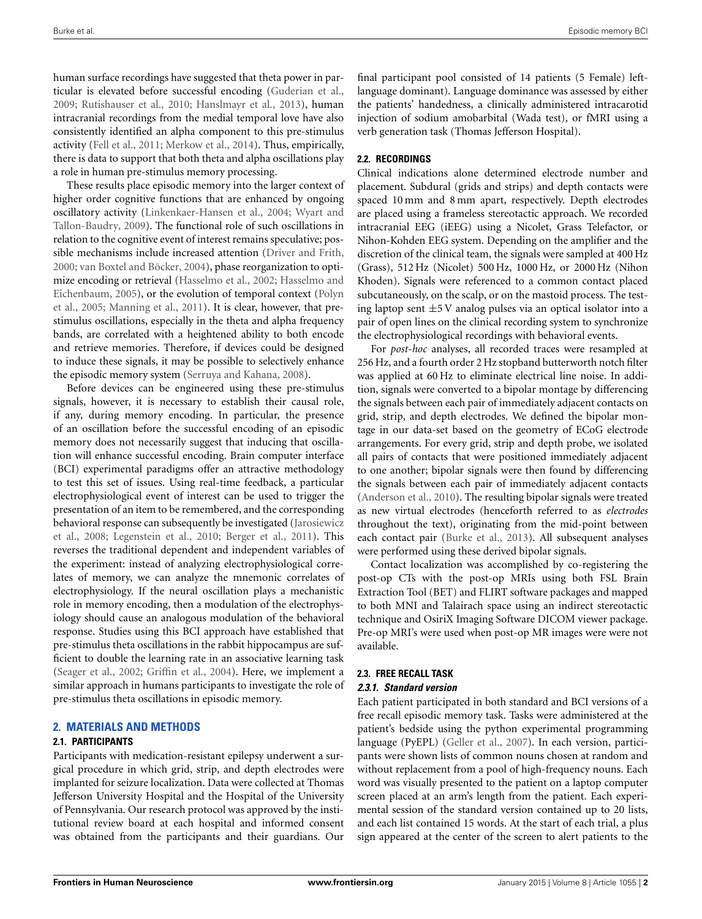human surface recordings have suggested that theta power in particular is elevated before successful encoding [\(Guderian et al.](#page-8-13), [2009](#page-8-13); [Rutishauser et al., 2010;](#page-9-4) [Hanslmayr et al.](#page-8-15), [2013](#page-8-15)), human intracranial recordings from the medial temporal love have also consistently identified an alpha component to this pre-stimulus activity [\(Fell et al., 2011;](#page-8-14) [Merkow et al.](#page-8-16), [2014](#page-8-16)). Thus, empirically, there is data to support that both theta and alpha oscillations play a role in human pre-stimulus memory processing.

These results place episodic memory into the larger context of higher order cognitive functions that are enhanced by ongoing oscillatory act[ivity](#page-9-6) [\(Linkenkaer-Hansen et al.](#page-8-21)[,](#page-9-6) [2004](#page-8-21)[;](#page-9-6) Wyart and Tallon-Baudry, [2009](#page-9-6)). The functional role of such oscillations in relation to the cognitive event of interest remains speculative; possible mechanisms include increased attention [\(Driver and Frith,](#page-8-22) [2000](#page-8-22); [van Boxtel and Böcker, 2004](#page-9-7)), phase reorganization to optimize encodi[ng or retrieval](#page-8-24) [\(Hasselmo et al.](#page-8-23)[,](#page-8-24) [2002](#page-8-23)[;](#page-8-24) Hasselmo and Eich[enbaum,](#page-9-8) [2005](#page-8-24)[\),](#page-9-8) [or](#page-9-8) [the](#page-9-8) [evolution](#page-9-8) [of](#page-9-8) [temporal](#page-9-8) [context](#page-9-8) [\(](#page-9-8)Polyn et al., [2005](#page-9-8); [Manning et al., 2011](#page-8-25)). It is clear, however, that prestimulus oscillations, especially in the theta and alpha frequency bands, are correlated with a heightened ability to both encode and retrieve memories. Therefore, if devices could be designed to induce these signals, it may be possible to selectively enhance the episodic memory system [\(Serruya and Kahana](#page-9-9), [2008\)](#page-9-9).

Before devices can be engineered using these pre-stimulus signals, however, it is necessary to establish their causal role, if any, during memory encoding. In particular, the presence of an oscillation before the successful encoding of an episodic memory does not necessarily suggest that inducing that oscillation will enhance successful encoding. Brain computer interface (BCI) experimental paradigms offer an attractive methodology to test this set of issues. Using real-time feedback, a particular electrophysiological event of interest can be used to trigger the presentation of an item to be remembered, and the corresponding beha[vioral response can subsequently be investigated \(](#page-8-26)Jarosiewicz et al., [2008;](#page-8-26) [Legenstein et al., 2010](#page-8-27); [Berger et al.](#page-8-28), [2011](#page-8-28)). This reverses the traditional dependent and independent variables of the experiment: instead of analyzing electrophysiological correlates of memory, we can analyze the mnemonic correlates of electrophysiology. If the neural oscillation plays a mechanistic role in memory encoding, then a modulation of the electrophysiology should cause an analogous modulation of the behavioral response. Studies using this BCI approach have established that pre-stimulus theta oscillations in the rabbit hippocampus are sufficient to double the learning rate in an associative learning task [\(Seager et al.](#page-9-10), [2002](#page-9-10); [Griffin et al., 2004](#page-8-29)). Here, we implement a similar approach in humans participants to investigate the role of pre-stimulus theta oscillations in episodic memory.

#### **2. MATERIALS AND METHODS**

#### **2.1. PARTICIPANTS**

Participants with medication-resistant epilepsy underwent a surgical procedure in which grid, strip, and depth electrodes were implanted for seizure localization. Data were collected at Thomas Jefferson University Hospital and the Hospital of the University of Pennsylvania. Our research protocol was approved by the institutional review board at each hospital and informed consent was obtained from the participants and their guardians. Our final participant pool consisted of 14 patients (5 Female) leftlanguage dominant). Language dominance was assessed by either the patients' handedness, a clinically administered intracarotid injection of sodium amobarbital (Wada test), or fMRI using a verb generation task (Thomas Jefferson Hospital).

#### **2.2. RECORDINGS**

Clinical indications alone determined electrode number and placement. Subdural (grids and strips) and depth contacts were spaced 10 mm and 8 mm apart, respectively. Depth electrodes are placed using a frameless stereotactic approach. We recorded intracranial EEG (iEEG) using a Nicolet, Grass Telefactor, or Nihon-Kohden EEG system. Depending on the amplifier and the discretion of the clinical team, the signals were sampled at 400 Hz (Grass), 512 Hz (Nicolet) 500 Hz, 1000 Hz, or 2000 Hz (Nihon Khoden). Signals were referenced to a common contact placed subcutaneously, on the scalp, or on the mastoid process. The testing laptop sent  $\pm$ 5 V analog pulses via an optical isolator into a pair of open lines on the clinical recording system to synchronize the electrophysiological recordings with behavioral events.

For *post-hoc* analyses, all recorded traces were resampled at 256 Hz, and a fourth order 2 Hz stopband butterworth notch filter was applied at 60 Hz to eliminate electrical line noise. In addition, signals were converted to a bipolar montage by differencing the signals between each pair of immediately adjacent contacts on grid, strip, and depth electrodes. We defined the bipolar montage in our data-set based on the geometry of ECoG electrode arrangements. For every grid, strip and depth probe, we isolated all pairs of contacts that were positioned immediately adjacent to one another; bipolar signals were then found by differencing the signals between each pair of immediately adjacent contacts [\(Anderson et al., 2010](#page-8-10)). The resulting bipolar signals were treated as new virtual electrodes (henceforth referred to as *electrodes* throughout the text), originating from the mid-point between each contact pair [\(Burke et al., 2013](#page-8-11)). All subsequent analyses were performed using these derived bipolar signals.

Contact localization was accomplished by co-registering the post-op CTs with the post-op MRIs using both FSL Brain Extraction Tool (BET) and FLIRT software packages and mapped to both MNI and Talairach space using an indirect stereotactic technique and OsiriX Imaging Software DICOM viewer package. Pre-op MRI's were used when post-op MR images were were not available.

## **2.3. FREE RECALL TASK**

## *2.3.1. Standard version*

Each patient participated in both standard and BCI versions of a free recall episodic memory task. Tasks were administered at the patient's bedside using the python experimental programming language (PyEPL) [\(Geller et al., 2007\)](#page-8-30). In each version, participants were shown lists of common nouns chosen at random and without replacement from a pool of high-frequency nouns. Each word was visually presented to the patient on a laptop computer screen placed at an arm's length from the patient. Each experimental session of the standard version contained up to 20 lists, and each list contained 15 words. At the start of each trial, a plus sign appeared at the center of the screen to alert patients to the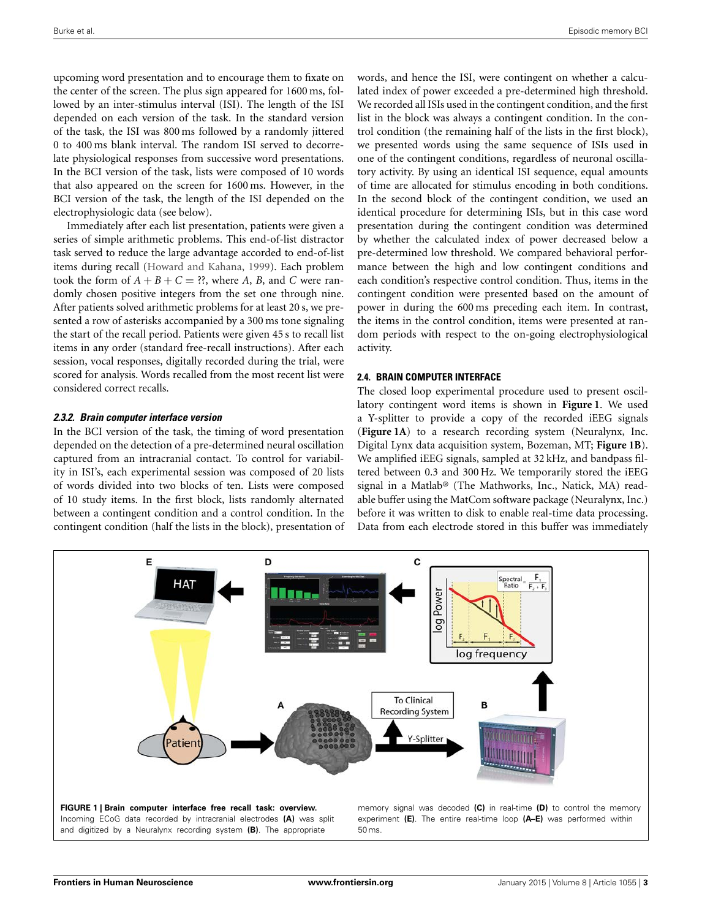upcoming word presentation and to encourage them to fixate on the center of the screen. The plus sign appeared for 1600 ms, followed by an inter-stimulus interval (ISI). The length of the ISI depended on each version of the task. In the standard version of the task, the ISI was 800 ms followed by a randomly jittered 0 to 400 ms blank interval. The random ISI served to decorrelate physiological responses from successive word presentations. In the BCI version of the task, lists were composed of 10 words that also appeared on the screen for 1600 ms. However, in the BCI version of the task, the length of the ISI depended on the electrophysiologic data (see below).

Immediately after each list presentation, patients were given a series of simple arithmetic problems. This end-of-list distractor task served to reduce the large advantage accorded to end-of-list items during recall [\(Howard and Kahana](#page-8-31), [1999\)](#page-8-31). Each problem took the form of  $A + B + C =$ ??, where *A*, *B*, and *C* were randomly chosen positive integers from the set one through nine. After patients solved arithmetic problems for at least 20 s, we presented a row of asterisks accompanied by a 300 ms tone signaling the start of the recall period. Patients were given 45 s to recall list items in any order (standard free-recall instructions). After each session, vocal responses, digitally recorded during the trial, were scored for analysis. Words recalled from the most recent list were considered correct recalls.

#### *2.3.2. Brain computer interface version*

In the BCI version of the task, the timing of word presentation depended on the detection of a pre-determined neural oscillation captured from an intracranial contact. To control for variability in ISI's, each experimental session was composed of 20 lists of words divided into two blocks of ten. Lists were composed of 10 study items. In the first block, lists randomly alternated between a contingent condition and a control condition. In the contingent condition (half the lists in the block), presentation of words, and hence the ISI, were contingent on whether a calculated index of power exceeded a pre-determined high threshold. We recorded all ISIs used in the contingent condition, and the first list in the block was always a contingent condition. In the control condition (the remaining half of the lists in the first block), we presented words using the same sequence of ISIs used in one of the contingent conditions, regardless of neuronal oscillatory activity. By using an identical ISI sequence, equal amounts of time are allocated for stimulus encoding in both conditions. In the second block of the contingent condition, we used an identical procedure for determining ISIs, but in this case word presentation during the contingent condition was determined by whether the calculated index of power decreased below a pre-determined low threshold. We compared behavioral performance between the high and low contingent conditions and each condition's respective control condition. Thus, items in the contingent condition were presented based on the amount of power in during the 600 ms preceding each item. In contrast, the items in the control condition, items were presented at random periods with respect to the on-going electrophysiological activity.

#### **2.4. BRAIN COMPUTER INTERFACE**

The closed loop experimental procedure used to present oscillatory contingent word items is shown in **[Figure 1](#page-2-0)**. We used a Y-splitter to provide a copy of the recorded iEEG signals (**[Figure 1A](#page-2-0)**) to a research recording system (Neuralynx, Inc. Digital Lynx data acquisition system, Bozeman, MT; **[Figure 1B](#page-2-0)**). We amplified iEEG signals, sampled at 32 kHz, and bandpass filtered between 0.3 and 300 Hz. We temporarily stored the iEEG signal in a Matlab® (The Mathworks, Inc., Natick, MA) readable buffer using the MatCom software package (Neuralynx, Inc.) before it was written to disk to enable real-time data processing. Data from each electrode stored in this buffer was immediately

<span id="page-2-0"></span>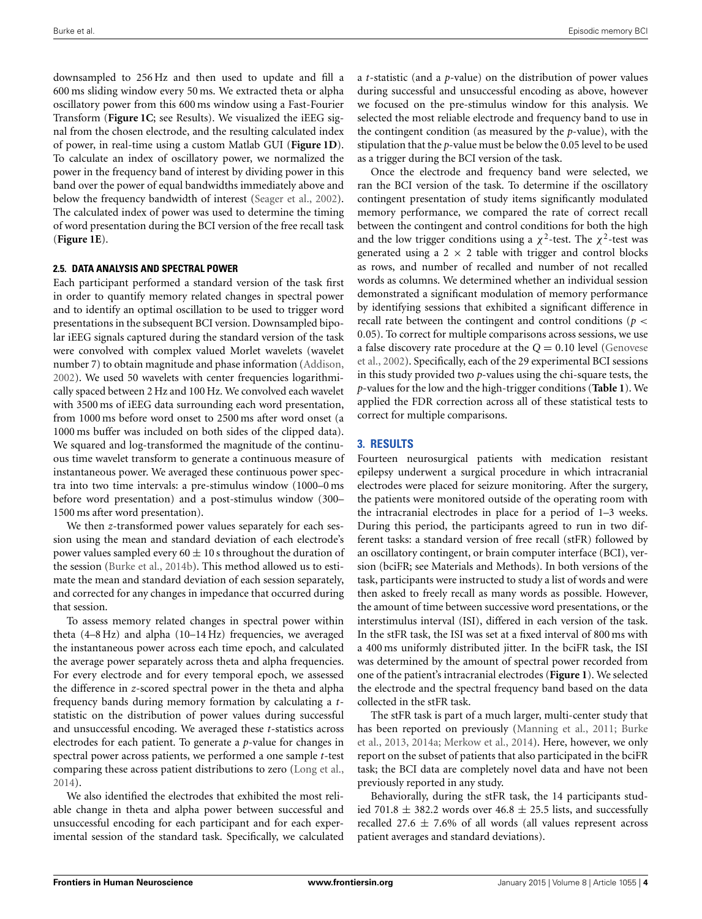downsampled to 256 Hz and then used to update and fill a 600 ms sliding window every 50 ms. We extracted theta or alpha oscillatory power from this 600 ms window using a Fast-Fourier Transform (**[Figure 1C](#page-2-0)**; see Results). We visualized the iEEG signal from the chosen electrode, and the resulting calculated index of power, in real-time using a custom Matlab GUI (**[Figure 1D](#page-2-0)**). To calculate an index of oscillatory power, we normalized the power in the frequency band of interest by dividing power in this band over the power of equal bandwidths immediately above and below the frequency bandwidth of interest [\(Seager et al.](#page-9-10), [2002\)](#page-9-10). The calculated index of power was used to determine the timing of word presentation during the BCI version of the free recall task (**[Figure 1E](#page-2-0)**).

#### **2.5. DATA ANALYSIS AND SPECTRAL POWER**

Each participant performed a standard version of the task first in order to quantify memory related changes in spectral power and to identify an optimal oscillation to be used to trigger word presentations in the subsequent BCI version. Downsampled bipolar iEEG signals captured during the standard version of the task were convolved with complex valued Morlet wavelets (wavelet number 7) to obtain magnitude and phase information [\(Addison,](#page-8-32) [2002](#page-8-32)). We used 50 wavelets with center frequencies logarithmically spaced between 2 Hz and 100 Hz. We convolved each wavelet with 3500 ms of iEEG data surrounding each word presentation, from 1000 ms before word onset to 2500 ms after word onset (a 1000 ms buffer was included on both sides of the clipped data). We squared and log-transformed the magnitude of the continuous time wavelet transform to generate a continuous measure of instantaneous power. We averaged these continuous power spectra into two time intervals: a pre-stimulus window (1000–0 ms before word presentation) and a post-stimulus window (300– 1500 ms after word presentation).

We then *z*-transformed power values separately for each session using the mean and standard deviation of each electrode's power values sampled every  $60 \pm 10$  s throughout the duration of the session [\(Burke et al.](#page-8-33), [2014b](#page-8-33)). This method allowed us to estimate the mean and standard deviation of each session separately, and corrected for any changes in impedance that occurred during that session.

To assess memory related changes in spectral power within theta (4–8 Hz) and alpha (10–14 Hz) frequencies, we averaged the instantaneous power across each time epoch, and calculated the average power separately across theta and alpha frequencies. For every electrode and for every temporal epoch, we assessed the difference in *z*-scored spectral power in the theta and alpha frequency bands during memory formation by calculating a *t*statistic on the distribution of power values during successful and unsuccessful encoding. We averaged these *t*-statistics across electrodes for each patient. To generate a *p*-value for changes in spectral power across patients, we performed a one sample *t*-test comparing these across patient distributions to zero [\(Long et al.](#page-8-34), [2014](#page-8-34)).

We also identified the electrodes that exhibited the most reliable change in theta and alpha power between successful and unsuccessful encoding for each participant and for each experimental session of the standard task. Specifically, we calculated a *t*-statistic (and a *p*-value) on the distribution of power values during successful and unsuccessful encoding as above, however we focused on the pre-stimulus window for this analysis. We selected the most reliable electrode and frequency band to use in the contingent condition (as measured by the *p*-value), with the stipulation that the *p*-value must be below the 0.05 level to be used as a trigger during the BCI version of the task.

Once the electrode and frequency band were selected, we ran the BCI version of the task. To determine if the oscillatory contingent presentation of study items significantly modulated memory performance, we compared the rate of correct recall between the contingent and control conditions for both the high and the low trigger conditions using a  $\chi^2$ -test. The  $\chi^2$ -test was generated using a  $2 \times 2$  table with trigger and control blocks as rows, and number of recalled and number of not recalled words as columns. We determined whether an individual session demonstrated a significant modulation of memory performance by identifying sessions that exhibited a significant difference in recall rate between the contingent and control conditions (*p* < 0.05). To correct for multiple comparisons across sessions, we use a fal[se discovery rate procedure at the](#page-8-35)  $Q = 0.10$  level (Genovese et al., [2002](#page-8-35)). Specifically, each of the 29 experimental BCI sessions in this study provided two *p*-values using the chi-square tests, the *p*-values for the low and the high-trigger conditions (**[Table 1](#page-4-0)**). We applied the FDR correction across all of these statistical tests to correct for multiple comparisons.

## **3. RESULTS**

Fourteen neurosurgical patients with medication resistant epilepsy underwent a surgical procedure in which intracranial electrodes were placed for seizure monitoring. After the surgery, the patients were monitored outside of the operating room with the intracranial electrodes in place for a period of 1–3 weeks. During this period, the participants agreed to run in two different tasks: a standard version of free recall (stFR) followed by an oscillatory contingent, or brain computer interface (BCI), version (bciFR; see Materials and Methods). In both versions of the task, participants were instructed to study a list of words and were then asked to freely recall as many words as possible. However, the amount of time between successive word presentations, or the interstimulus interval (ISI), differed in each version of the task. In the stFR task, the ISI was set at a fixed interval of 800 ms with a 400 ms uniformly distributed jitter. In the bciFR task, the ISI was determined by the amount of spectral power recorded from one of the patient's intracranial electrodes (**[Figure 1](#page-2-0)**). We selected the electrode and the spectral frequency band based on the data collected in the stFR task.

The stFR task is part of a much larger, multi-center study that has [been](#page-8-11) [reported](#page-8-11) [on](#page-8-11) [previously](#page-8-11) [\(Manning et al.](#page-8-25)[,](#page-8-11) [2011](#page-8-25)[;](#page-8-11) Burke et al., [2013,](#page-8-11) [2014a;](#page-8-36) [Merkow et al.](#page-8-16), [2014](#page-8-16)). Here, however, we only report on the subset of patients that also participated in the bciFR task; the BCI data are completely novel data and have not been previously reported in any study.

Behaviorally, during the stFR task, the 14 participants studied 701.8  $\pm$  382.2 words over 46.8  $\pm$  25.5 lists, and successfully recalled 27.6  $\pm$  7.6% of all words (all values represent across patient averages and standard deviations).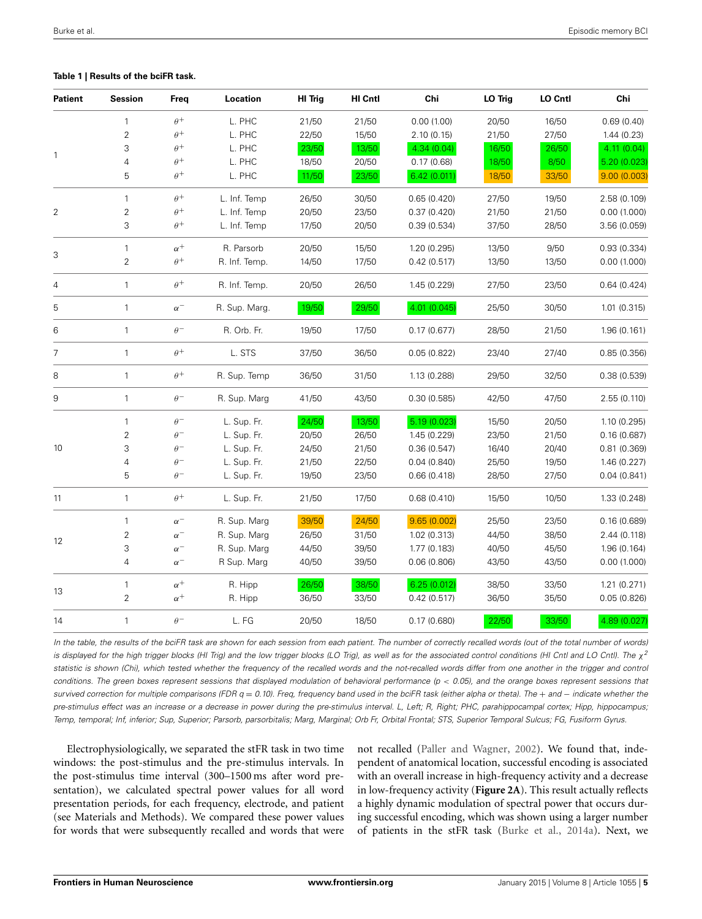#### <span id="page-4-0"></span>**Table 1 | Results of the bciFR task.**

| <b>Patient</b> | <b>Session</b> | Freq         | Location      | HI Trig | <b>HI Cntl</b> | Chi          | LO Trig | LO Cntl | Chi          |
|----------------|----------------|--------------|---------------|---------|----------------|--------------|---------|---------|--------------|
|                | $\mathbf{1}$   | $\theta^+$   | L. PHC        | 21/50   | 21/50          | 0.00(1.00)   | 20/50   | 16/50   | 0.69(0.40)   |
|                | $\overline{c}$ | $\theta^+$   | L. PHC        | 22/50   | 15/50          | 2.10(0.15)   | 21/50   | 27/50   | 1.44(0.23)   |
| 1              | 3              | $\theta^+$   | L. PHC        | 23/50   | 13/50          | 4.34(0.04)   | 16/50   | 26/50   | 4.11 (0.04)  |
|                | 4              | $\theta^+$   | L. PHC        | 18/50   | 20/50          | 0.17(0.68)   | 18/50   | 8/50    | 5.20(0.023)  |
|                | 5              | $\theta^+$   | L. PHC        | 11/50   | 23/50          | 6.42(0.011)  | 18/50   | 33/50   | 9.00(0.003)  |
|                | $\mathbf{1}$   | $\theta^+$   | L. Inf. Temp  | 26/50   | 30/50          | 0.65(0.420)  | 27/50   | 19/50   | 2.58 (0.109) |
| $\overline{2}$ | 2              | $\theta^+$   | L. Inf. Temp  | 20/50   | 23/50          | 0.37(0.420)  | 21/50   | 21/50   | 0.00(1.000)  |
|                | 3              | $\theta^+$   | L. Inf. Temp  | 17/50   | 20/50          | 0.39(0.534)  | 37/50   | 28/50   | 3.56 (0.059) |
| 3              | 1              | $\alpha^+$   | R. Parsorb    | 20/50   | 15/50          | 1.20(0.295)  | 13/50   | 9/50    | 0.93(0.334)  |
|                | $\overline{c}$ | $\theta^+$   | R. Inf. Temp. | 14/50   | 17/50          | 0.42(0.517)  | 13/50   | 13/50   | 0.00(1.000)  |
| 4              | $\mathbf{1}$   | $\theta^+$   | R. Inf. Temp. | 20/50   | 26/50          | 1.45(0.229)  | 27/50   | 23/50   | 0.64(0.424)  |
| 5              | $\mathbf{1}$   | $\alpha^{-}$ | R. Sup. Marg. | 19/50   | 29/50          | 4.01 (0.045) | 25/50   | 30/50   | 1.01(0.315)  |
| 6              | $\mathbf{1}$   | $\theta^-$   | R. Orb. Fr.   | 19/50   | 17/50          | 0.17(0.677)  | 28/50   | 21/50   | 1.96 (0.161) |
| $\overline{7}$ | $\mathbf{1}$   | $\theta^+$   | L. STS        | 37/50   | 36/50          | 0.05(0.822)  | 23/40   | 27/40   | 0.85(0.356)  |
| 8              | $\mathbf{1}$   | $\theta^+$   | R. Sup. Temp  | 36/50   | 31/50          | 1.13 (0.288) | 29/50   | 32/50   | 0.38(0.539)  |
| 9              | $\mathbf{1}$   | $\theta^-$   | R. Sup. Marg  | 41/50   | 43/50          | 0.30(0.585)  | 42/50   | 47/50   | 2.55(0.110)  |
|                | $\mathbf{1}$   | $\theta^-$   | L. Sup. Fr.   | 24/50   | 13/50          | 5.19 (0.023) | 15/50   | 20/50   | 1.10(0.295)  |
|                | 2              | $\theta^-$   | L. Sup. Fr.   | 20/50   | 26/50          | 1.45 (0.229) | 23/50   | 21/50   | 0.16(0.687)  |
| 10             | 3              | $\theta^-$   | L. Sup. Fr.   | 24/50   | 21/50          | 0.36(0.547)  | 16/40   | 20/40   | 0.81 (0.369) |
|                | 4              | $\theta^-$   | L. Sup. Fr.   | 21/50   | 22/50          | 0.04(0.840)  | 25/50   | 19/50   | 1.46(0.227)  |
|                | 5              | $\theta^-$   | L. Sup. Fr.   | 19/50   | 23/50          | 0.66(0.418)  | 28/50   | 27/50   | 0.04(0.841)  |
| 11             | $\mathbf{1}$   | $\theta^+$   | L. Sup. Fr.   | 21/50   | 17/50          | 0.68(0.410)  | 15/50   | 10/50   | 1.33 (0.248) |
| 12             | 1              | $\alpha^{-}$ | R. Sup. Marg  | 39/50   | 24/50          | 9.65(0.002)  | 25/50   | 23/50   | 0.16(0.689)  |
|                | 2              | $\alpha^{-}$ | R. Sup. Marg  | 26/50   | 31/50          | 1.02(0.313)  | 44/50   | 38/50   | 2.44 (0.118) |
|                | 3              | $\alpha^{-}$ | R. Sup. Marg  | 44/50   | 39/50          | 1.77(0.183)  | 40/50   | 45/50   | 1.96 (0.164) |
|                | 4              | $\alpha^{-}$ | R Sup. Marg   | 40/50   | 39/50          | 0.06(0.806)  | 43/50   | 43/50   | 0.00(1.000)  |
| 13             | $\mathbf{1}$   | $\alpha^+$   | R. Hipp       | 26/50   | 38/50          | 6.25(0.012)  | 38/50   | 33/50   | 1.21(0.271)  |
|                | $\overline{2}$ | $\alpha^+$   | R. Hipp       | 36/50   | 33/50          | 0.42(0.517)  | 36/50   | 35/50   | 0.05(0.826)  |
| 14             | $\mathbf{1}$   | $\theta^-$   | L. FG         | 20/50   | 18/50          | 0.17(0.680)  | 22/50   | 33/50   | 4.89 (0.027) |

*In the table, the results of the bciFR task are shown for each session from each patient. The number of correctly recalled words (out of the total number of words) is displayed for the high trigger blocks (HI Trig) and the low trigger blocks (LO Trig), as well as for the associated control conditions (HI Cntl and LO Cntl). The χ<sup>2</sup> statistic is shown (Chi), which tested whether the frequency of the recalled words and the not-recalled words differ from one another in the trigger and control conditions. The green boxes represent sessions that displayed modulation of behavioral performance (p < 0.05), and the orange boxes represent sessions that survived correction for multiple comparisons (FDR q* = *0.10). Freq, frequency band used in the bciFR task (either alpha or theta). The* + *and* − *indicate whether the pre-stimulus effect was an increase or a decrease in power during the pre-stimulus interval. L, Left; R, Right; PHC, parahippocampal cortex; Hipp, hippocampus; Temp, temporal; Inf, inferior; Sup, Superior; Parsorb, parsorbitalis; Marg, Marginal; Orb Fr, Orbital Frontal; STS, Superior Temporal Sulcus; FG, Fusiform Gyrus.*

Electrophysiologically, we separated the stFR task in two time windows: the post-stimulus and the pre-stimulus intervals. In the post-stimulus time interval (300–1500 ms after word presentation), we calculated spectral power values for all word presentation periods, for each frequency, electrode, and patient (see Materials and Methods). We compared these power values for words that were subsequently recalled and words that were

not recalled [\(Paller and Wagner](#page-8-37), [2002](#page-8-37)). We found that, independent of anatomical location, successful encoding is associated with an overall increase in high-frequency activity and a decrease in low-frequency activity (**[Figure 2A](#page-5-0)**). This result actually reflects a highly dynamic modulation of spectral power that occurs during successful encoding, which was shown using a larger number of patients in the stFR task [\(Burke et al., 2014a](#page-8-36)). Next, we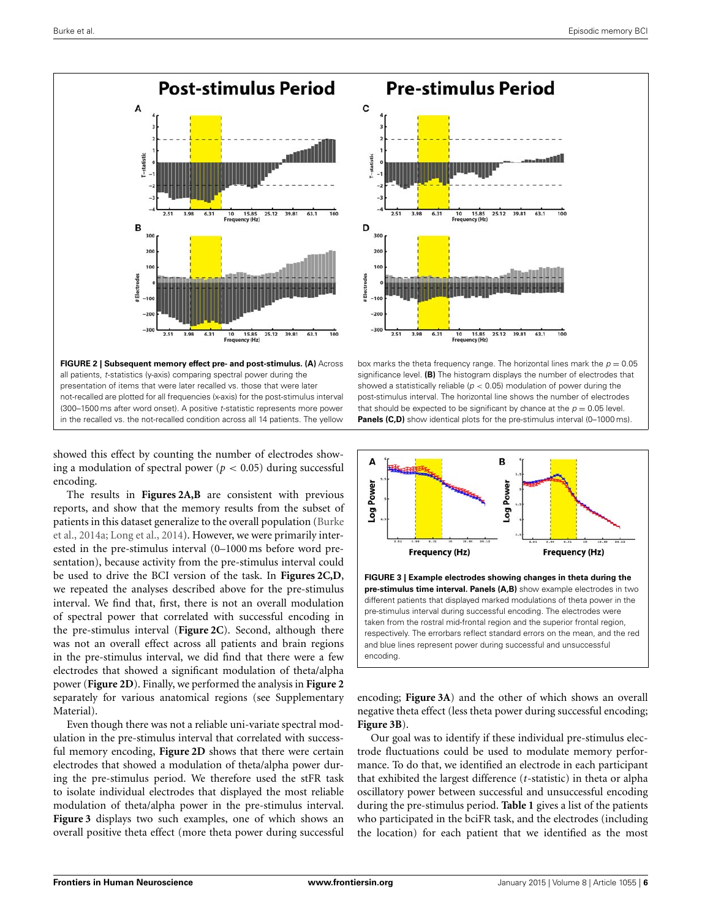

<span id="page-5-0"></span>showed this effect by counting the number of electrodes showing a modulation of spectral power ( $p < 0.05$ ) during successful encoding.

The results in **[Figures 2A,B](#page-5-0)** are consistent with previous reports, and show that the memory results from the subset of pati[ents in this dataset generalize to the overall population \(](#page-8-36)Burke et al., [2014a;](#page-8-36) [Long et al., 2014](#page-8-34)). However, we were primarily interested in the pre-stimulus interval (0–1000 ms before word presentation), because activity from the pre-stimulus interval could be used to drive the BCI version of the task. In **[Figures 2C,D](#page-5-0)**, we repeated the analyses described above for the pre-stimulus interval. We find that, first, there is not an overall modulation of spectral power that correlated with successful encoding in the pre-stimulus interval (**[Figure 2C](#page-5-0)**). Second, although there was not an overall effect across all patients and brain regions in the pre-stimulus interval, we did find that there were a few electrodes that showed a significant modulation of theta/alpha power (**[Figure 2D](#page-5-0)**). Finally, we performed the analysis in **[Figure 2](#page-5-0)** separately for various anatomical regions (see Supplementary Material).

Even though there was not a reliable uni-variate spectral modulation in the pre-stimulus interval that correlated with successful memory encoding, **[Figure 2D](#page-5-0)** shows that there were certain electrodes that showed a modulation of theta/alpha power during the pre-stimulus period. We therefore used the stFR task to isolate individual electrodes that displayed the most reliable modulation of theta/alpha power in the pre-stimulus interval. **[Figure 3](#page-5-1)** displays two such examples, one of which shows an overall positive theta effect (more theta power during successful



box marks the theta frequency range. The horizontal lines mark the  $p = 0.05$ significance level. **(B)** The histogram displays the number of electrodes that showed a statistically reliable ( $p < 0.05$ ) modulation of power during the post-stimulus interval. The horizontal line shows the number of electrodes that should be expected to be significant by chance at the  $p = 0.05$  level. Panels (C,D) show identical plots for the pre-stimulus interval (0-1000 ms).



<span id="page-5-1"></span>**FIGURE 3 | Example electrodes showing changes in theta during the pre-stimulus time interval. Panels (A,B)** show example electrodes in two different patients that displayed marked modulations of theta power in the pre-stimulus interval during successful encoding. The electrodes were taken from the rostral mid-frontal region and the superior frontal region, respectively. The errorbars reflect standard errors on the mean, and the red and blue lines represent power during successful and unsuccessful encoding.

encoding; **[Figure 3A](#page-5-1)**) and the other of which shows an overall negative theta effect (less theta power during successful encoding; **[Figure 3B](#page-5-1)**).

Our goal was to identify if these individual pre-stimulus electrode fluctuations could be used to modulate memory performance. To do that, we identified an electrode in each participant that exhibited the largest difference (*t*-statistic) in theta or alpha oscillatory power between successful and unsuccessful encoding during the pre-stimulus period. **[Table 1](#page-4-0)** gives a list of the patients who participated in the bciFR task, and the electrodes (including the location) for each patient that we identified as the most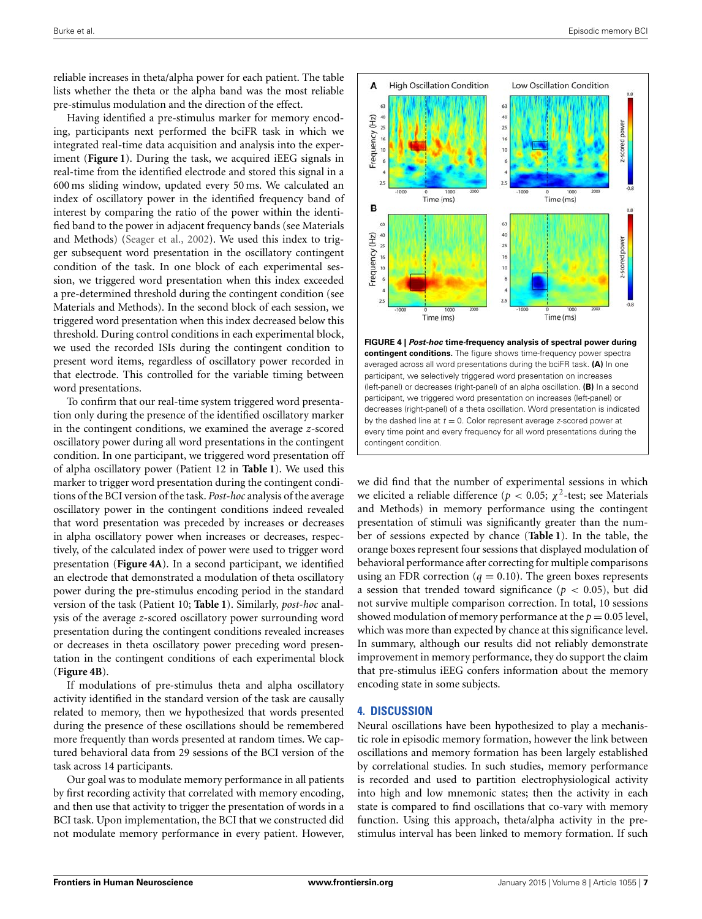reliable increases in theta/alpha power for each patient. The table lists whether the theta or the alpha band was the most reliable pre-stimulus modulation and the direction of the effect.

Having identified a pre-stimulus marker for memory encoding, participants next performed the bciFR task in which we integrated real-time data acquisition and analysis into the experiment (**[Figure 1](#page-2-0)**). During the task, we acquired iEEG signals in real-time from the identified electrode and stored this signal in a 600 ms sliding window, updated every 50 ms. We calculated an index of oscillatory power in the identified frequency band of interest by comparing the ratio of the power within the identified band to the power in adjacent frequency bands (see Materials and Methods) [\(Seager et al.](#page-9-10), [2002](#page-9-10)). We used this index to trigger subsequent word presentation in the oscillatory contingent condition of the task. In one block of each experimental session, we triggered word presentation when this index exceeded a pre-determined threshold during the contingent condition (see Materials and Methods). In the second block of each session, we triggered word presentation when this index decreased below this threshold. During control conditions in each experimental block, we used the recorded ISIs during the contingent condition to present word items, regardless of oscillatory power recorded in that electrode. This controlled for the variable timing between word presentations.

To confirm that our real-time system triggered word presentation only during the presence of the identified oscillatory marker in the contingent conditions, we examined the average *z*-scored oscillatory power during all word presentations in the contingent condition. In one participant, we triggered word presentation off of alpha oscillatory power (Patient 12 in **[Table 1](#page-4-0)**). We used this marker to trigger word presentation during the contingent conditions of the BCI version of the task. *Post-hoc* analysis of the average oscillatory power in the contingent conditions indeed revealed that word presentation was preceded by increases or decreases in alpha oscillatory power when increases or decreases, respectively, of the calculated index of power were used to trigger word presentation (**[Figure 4A](#page-6-0)**). In a second participant, we identified an electrode that demonstrated a modulation of theta oscillatory power during the pre-stimulus encoding period in the standard version of the task (Patient 10; **[Table 1](#page-4-0)**). Similarly, *post-hoc* analysis of the average *z*-scored oscillatory power surrounding word presentation during the contingent conditions revealed increases or decreases in theta oscillatory power preceding word presentation in the contingent conditions of each experimental block (**[Figure 4B](#page-6-0)**).

If modulations of pre-stimulus theta and alpha oscillatory activity identified in the standard version of the task are causally related to memory, then we hypothesized that words presented during the presence of these oscillations should be remembered more frequently than words presented at random times. We captured behavioral data from 29 sessions of the BCI version of the task across 14 participants.

Our goal was to modulate memory performance in all patients by first recording activity that correlated with memory encoding, and then use that activity to trigger the presentation of words in a BCI task. Upon implementation, the BCI that we constructed did not modulate memory performance in every patient. However,



<span id="page-6-0"></span>

we did find that the number of experimental sessions in which we elicited a reliable difference ( $p < 0.05$ ;  $\chi^2$ -test; see Materials and Methods) in memory performance using the contingent presentation of stimuli was significantly greater than the number of sessions expected by chance (**[Table 1](#page-4-0)**). In the table, the orange boxes represent four sessions that displayed modulation of behavioral performance after correcting for multiple comparisons using an FDR correction ( $q = 0.10$ ). The green boxes represents a session that trended toward significance ( $p < 0.05$ ), but did not survive multiple comparison correction. In total, 10 sessions showed modulation of memory performance at the  $p = 0.05$  level, which was more than expected by chance at this significance level. In summary, although our results did not reliably demonstrate improvement in memory performance, they do support the claim that pre-stimulus iEEG confers information about the memory encoding state in some subjects.

#### **4. DISCUSSION**

Neural oscillations have been hypothesized to play a mechanistic role in episodic memory formation, however the link between oscillations and memory formation has been largely established by correlational studies. In such studies, memory performance is recorded and used to partition electrophysiological activity into high and low mnemonic states; then the activity in each state is compared to find oscillations that co-vary with memory function. Using this approach, theta/alpha activity in the prestimulus interval has been linked to memory formation. If such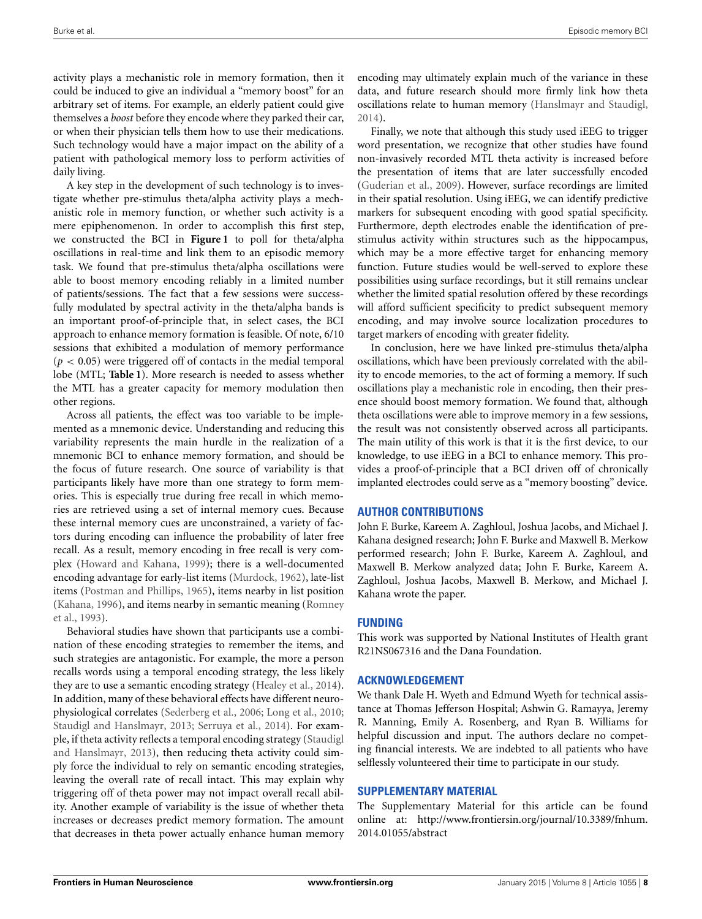activity plays a mechanistic role in memory formation, then it could be induced to give an individual a "memory boost" for an arbitrary set of items. For example, an elderly patient could give themselves a *boost* before they encode where they parked their car, or when their physician tells them how to use their medications. Such technology would have a major impact on the ability of a patient with pathological memory loss to perform activities of daily living.

A key step in the development of such technology is to investigate whether pre-stimulus theta/alpha activity plays a mechanistic role in memory function, or whether such activity is a mere epiphenomenon. In order to accomplish this first step, we constructed the BCI in **[Figure 1](#page-2-0)** to poll for theta/alpha oscillations in real-time and link them to an episodic memory task. We found that pre-stimulus theta/alpha oscillations were able to boost memory encoding reliably in a limited number of patients/sessions. The fact that a few sessions were successfully modulated by spectral activity in the theta/alpha bands is an important proof-of-principle that, in select cases, the BCI approach to enhance memory formation is feasible. Of note, 6/10 sessions that exhibited a modulation of memory performance  $(p < 0.05)$  were triggered off of contacts in the medial temporal lobe (MTL; **[Table 1](#page-4-0)**). More research is needed to assess whether the MTL has a greater capacity for memory modulation then other regions.

Across all patients, the effect was too variable to be implemented as a mnemonic device. Understanding and reducing this variability represents the main hurdle in the realization of a mnemonic BCI to enhance memory formation, and should be the focus of future research. One source of variability is that participants likely have more than one strategy to form memories. This is especially true during free recall in which memories are retrieved using a set of internal memory cues. Because these internal memory cues are unconstrained, a variety of factors during encoding can influence the probability of later free recall. As a result, memory encoding in free recall is very complex [\(Howard and Kahana](#page-8-31), [1999](#page-8-31)); there is a well-documented encoding advantage for early-list items [\(Murdock, 1962\)](#page-8-38), late-list items [\(Postman and Phillips](#page-9-11), [1965](#page-9-11)), items nearby in list position [\(Kahana](#page-8-39)[,](#page-9-12) [1996](#page-8-39)[\), and items nearby in semantic meaning \(](#page-9-12)Romney et al., [1993\)](#page-9-12).

Behavioral studies have shown that participants use a combination of these encoding strategies to remember the items, and such strategies are antagonistic. For example, the more a person recalls words using a temporal encoding strategy, the less likely they are to use a semantic encoding strategy [\(Healey et al.](#page-8-40), [2014](#page-8-40)). In addition, many of these behavioral effects have different neurophysiological correlates [\(Sederberg et al.](#page-9-13), [2006](#page-9-13); [Long et al.](#page-8-41), [2010;](#page-8-41) [Staudigl and Hanslmayr, 2013;](#page-9-14) [Serruya et al.](#page-9-15), [2014\)](#page-9-15). For example, if theta acti[vity](#page-9-14) [reflects](#page-9-14) [a](#page-9-14) [temporal](#page-9-14) [encoding](#page-9-14) [strategy](#page-9-14) [\(](#page-9-14)Staudigl and Hanslmayr, [2013\)](#page-9-14), then reducing theta activity could simply force the individual to rely on semantic encoding strategies, leaving the overall rate of recall intact. This may explain why triggering off of theta power may not impact overall recall ability. Another example of variability is the issue of whether theta increases or decreases predict memory formation. The amount that decreases in theta power actually enhance human memory

encoding may ultimately explain much of the variance in these data, and future research should more firmly link how theta oscillations relate to human memory [\(Hanslmayr and Staudigl](#page-8-42), [2014](#page-8-42)).

Finally, we note that although this study used iEEG to trigger word presentation, we recognize that other studies have found non-invasively recorded MTL theta activity is increased before the presentation of items that are later successfully encoded [\(Guderian et al.](#page-8-13), [2009\)](#page-8-13). However, surface recordings are limited in their spatial resolution. Using iEEG, we can identify predictive markers for subsequent encoding with good spatial specificity. Furthermore, depth electrodes enable the identification of prestimulus activity within structures such as the hippocampus, which may be a more effective target for enhancing memory function. Future studies would be well-served to explore these possibilities using surface recordings, but it still remains unclear whether the limited spatial resolution offered by these recordings will afford sufficient specificity to predict subsequent memory encoding, and may involve source localization procedures to target markers of encoding with greater fidelity.

In conclusion, here we have linked pre-stimulus theta/alpha oscillations, which have been previously correlated with the ability to encode memories, to the act of forming a memory. If such oscillations play a mechanistic role in encoding, then their presence should boost memory formation. We found that, although theta oscillations were able to improve memory in a few sessions, the result was not consistently observed across all participants. The main utility of this work is that it is the first device, to our knowledge, to use iEEG in a BCI to enhance memory. This provides a proof-of-principle that a BCI driven off of chronically implanted electrodes could serve as a "memory boosting" device.

#### **AUTHOR CONTRIBUTIONS**

John F. Burke, Kareem A. Zaghloul, Joshua Jacobs, and Michael J. Kahana designed research; John F. Burke and Maxwell B. Merkow performed research; John F. Burke, Kareem A. Zaghloul, and Maxwell B. Merkow analyzed data; John F. Burke, Kareem A. Zaghloul, Joshua Jacobs, Maxwell B. Merkow, and Michael J. Kahana wrote the paper.

#### **FUNDING**

This work was supported by National Institutes of Health grant R21NS067316 and the Dana Foundation.

#### **ACKNOWLEDGEMENT**

We thank Dale H. Wyeth and Edmund Wyeth for technical assistance at Thomas Jefferson Hospital; Ashwin G. Ramayya, Jeremy R. Manning, Emily A. Rosenberg, and Ryan B. Williams for helpful discussion and input. The authors declare no competing financial interests. We are indebted to all patients who have selflessly volunteered their time to participate in our study.

#### **SUPPLEMENTARY MATERIAL**

The Supplementary Material for this article can be found online at: [http://www.frontiersin.org/journal/10.3389/fnhum.](http://www.frontiersin.org/journal/10.3389/fnhum.2014.01055/abstract) [2014.01055/abstract](http://www.frontiersin.org/journal/10.3389/fnhum.2014.01055/abstract)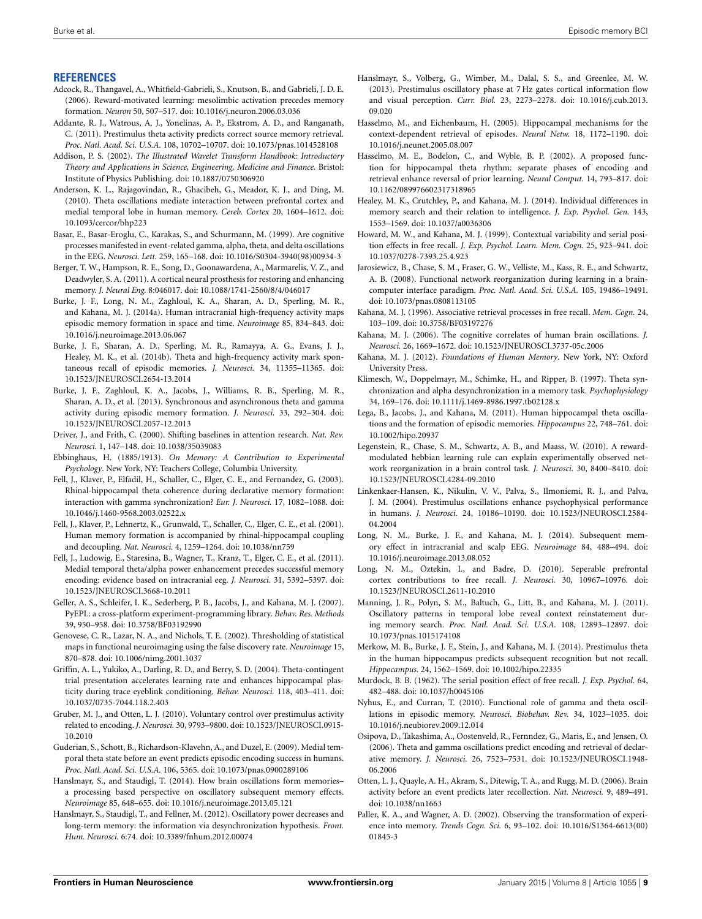#### **REFERENCES**

- <span id="page-8-18"></span>Adcock, R., Thangavel, A., Whitfield-Gabrieli, S., Knutson, B., and Gabrieli, J. D. E. (2006). Reward-motivated learning: mesolimbic activation precedes memory formation. *Neuron* 50, 507–517. doi: 10.1016/j.neuron.2006.03.036
- <span id="page-8-17"></span>Addante, R. J., Watrous, A. J., Yonelinas, A. P., Ekstrom, A. D., and Ranganath, C. (2011). Prestimulus theta activity predicts correct source memory retrieval. *Proc. Natl. Acad. Sci. U.S.A.* 108, 10702–10707. doi: 10.1073/pnas.1014528108
- <span id="page-8-32"></span>Addison, P. S. (2002). *The Illustrated Wavelet Transform Handbook: Introductory Theory and Applications in Science, Engineering, Medicine and Finance.* Bristol: Institute of Physics Publishing. doi: 10.1887/0750306920
- <span id="page-8-10"></span>Anderson, K. L., Rajagovindan, R., Ghacibeh, G., Meador, K. J., and Ding, M. (2010). Theta oscillations mediate interaction between prefrontal cortex and medial temporal lobe in human memory. *Cereb. Cortex* 20, 1604–1612. doi: 10.1093/cercor/bhp223
- <span id="page-8-2"></span>Basar, E., Basar-Eroglu, C., Karakas, S., and Schurmann, M. (1999). Are cognitive processes manifested in event-related gamma, alpha, theta, and delta oscillations in the EEG. *Neurosci. Lett.* 259, 165–168. doi: 10.1016/S0304-3940(98)00934-3
- <span id="page-8-28"></span>Berger, T. W., Hampson, R. E., Song, D., Goonawardena, A., Marmarelis, V. Z., and Deadwyler, S. A. (2011). A cortical neural prosthesis for restoring and enhancing memory. *J. Neural Eng.* 8:046017. doi: 10.1088/1741-2560/8/4/046017
- <span id="page-8-36"></span>Burke, J. F., Long, N. M., Zaghloul, K. A., Sharan, A. D., Sperling, M. R., and Kahana, M. J. (2014a). Human intracranial high-frequency activity maps episodic memory formation in space and time. *Neuroimage* 85, 834–843. doi: 10.1016/j.neuroimage.2013.06.067
- <span id="page-8-33"></span>Burke, J. F., Sharan, A. D., Sperling, M. R., Ramayya, A. G., Evans, J. J., Healey, M. K., et al. (2014b). Theta and high-frequency activity mark spontaneous recall of episodic memories. *J. Neurosci.* 34, 11355–11365. doi: 10.1523/JNEUROSCI.2654-13.2014
- <span id="page-8-11"></span>Burke, J. F., Zaghloul, K. A., Jacobs, J., Williams, R. B., Sperling, M. R., Sharan, A. D., et al. (2013). Synchronous and asynchronous theta and gamma activity during episodic memory formation. *J. Neurosci.* 33, 292–304. doi: 10.1523/JNEUROSCI.2057-12.2013
- <span id="page-8-22"></span>Driver, J., and Frith, C. (2000). Shifting baselines in attention research. *Nat. Rev. Neurosci.* 1, 147–148. doi: 10.1038/35039083
- <span id="page-8-0"></span>Ebbinghaus, H. (1885/1913). *On Memory: A Contribution to Experimental Psychology*. New York, NY: Teachers College, Columbia University.
- <span id="page-8-9"></span>Fell, J., Klaver, P., Elfadil, H., Schaller, C., Elger, C. E., and Fernandez, G. (2003). Rhinal-hippocampal theta coherence during declarative memory formation: interaction with gamma synchronization? *Eur. J. Neurosci.* 17, 1082–1088. doi: 10.1046/j.1460-9568.2003.02522.x
- <span id="page-8-7"></span>Fell, J., Klaver, P., Lehnertz, K., Grunwald, T., Schaller, C., Elger, C. E., et al. (2001). Human memory formation is accompanied by rhinal-hippocampal coupling and decoupling. *Nat. Neurosci.* 4, 1259–1264. doi: 10.1038/nn759
- <span id="page-8-14"></span>Fell, J., Ludowig, E., Staresina, B., Wagner, T., Kranz, T., Elger, C. E., et al. (2011). Medial temporal theta/alpha power enhancement precedes successful memory encoding: evidence based on intracranial eeg. *J. Neurosci.* 31, 5392–5397. doi: 10.1523/JNEUROSCI.3668-10.2011
- <span id="page-8-30"></span>Geller, A. S., Schleifer, I. K., Sederberg, P. B., Jacobs, J., and Kahana, M. J. (2007). PyEPL: a cross-platform experiment-programming library. *Behav. Res. Methods* 39, 950–958. doi: 10.3758/BF03192990
- <span id="page-8-35"></span>Genovese, C. R., Lazar, N. A., and Nichols, T. E. (2002). Thresholding of statistical maps in functional neuroimaging using the false discovery rate. *Neuroimage* 15, 870–878. doi: 10.1006/nimg.2001.1037
- <span id="page-8-29"></span>Griffin, A. L., Yukiko, A., Darling, R. D., and Berry, S. D. (2004). Theta-contingent trial presentation accelerates learning rate and enhances hippocampal plasticity during trace eyeblink conditioning. *Behav. Neurosci.* 118, 403–411. doi: 10.1037/0735-7044.118.2.403
- <span id="page-8-20"></span>Gruber, M. J., and Otten, L. J. (2010). Voluntary control over prestimulus activity related to encoding. *J. Neurosci.* 30, 9793–9800. doi: 10.1523/JNEUROSCI.0915- 10.2010
- <span id="page-8-13"></span>Guderian, S., Schott, B., Richardson-Klavehn, A., and Duzel, E. (2009). Medial temporal theta state before an event predicts episodic encoding success in humans. *Proc. Natl. Acad. Sci. U.S.A.* 106, 5365. doi: 10.1073/pnas.0900289106
- <span id="page-8-42"></span>Hanslmayr, S., and Staudigl, T. (2014). How brain oscillations form memories– a processing based perspective on oscillatory subsequent memory effects. *Neuroimage* 85, 648–655. doi: 10.1016/j.neuroimage.2013.05.121
- <span id="page-8-12"></span>Hanslmayr, S., Staudigl, T., and Fellner, M. (2012). Oscillatory power decreases and long-term memory: the information via desynchronization hypothesis. *Front. Hum. Neurosci.* 6:74. doi: 10.3389/fnhum.2012.00074
- <span id="page-8-15"></span>Hanslmayr, S., Volberg, G., Wimber, M., Dalal, S. S., and Greenlee, M. W. (2013). Prestimulus oscillatory phase at 7 Hz gates cortical information flow and visual perception. *Curr. Biol.* 23, 2273–2278. doi: 10.1016/j.cub.2013. 09.020
- <span id="page-8-24"></span>Hasselmo, M., and Eichenbaum, H. (2005). Hippocampal mechanisms for the context-dependent retrieval of episodes. *Neural Netw.* 18, 1172–1190. doi: 10.1016/j.neunet.2005.08.007
- <span id="page-8-23"></span>Hasselmo, M. E., Bodelon, C., and Wyble, B. P. (2002). A proposed function for hippocampal theta rhythm: separate phases of encoding and retrieval enhance reversal of prior learning. *Neural Comput.* 14, 793–817. doi: 10.1162/089976602317318965
- <span id="page-8-40"></span>Healey, M. K., Crutchley, P., and Kahana, M. J. (2014). Individual differences in memory search and their relation to intelligence. *J. Exp. Psychol. Gen.* 143, 1553–1569. doi: 10.1037/a0036306
- <span id="page-8-31"></span>Howard, M. W., and Kahana, M. J. (1999). Contextual variability and serial position effects in free recall. *J. Exp. Psychol. Learn. Mem. Cogn.* 25, 923–941. doi: 10.1037/0278-7393.25.4.923
- <span id="page-8-26"></span>Jarosiewicz, B., Chase, S. M., Fraser, G. W., Velliste, M., Kass, R. E., and Schwartz, A. B. (2008). Functional network reorganization during learning in a braincomputer interface paradigm. *Proc. Natl. Acad. Sci. U.S.A.* 105, 19486–19491. doi: 10.1073/pnas.0808113105
- <span id="page-8-39"></span>Kahana, M. J. (1996). Associative retrieval processes in free recall. *Mem. Cogn.* 24, 103–109. doi: 10.3758/BF03197276
- <span id="page-8-3"></span>Kahana, M. J. (2006). The cognitive correlates of human brain oscillations. *J. Neurosci.* 26, 1669–1672. doi: 10.1523/JNEUROSCI.3737-05c.2006
- <span id="page-8-1"></span>Kahana, M. J. (2012). *Foundations of Human Memory*. New York, NY: Oxford University Press.
- <span id="page-8-5"></span>Klimesch, W., Doppelmayr, M., Schimke, H., and Ripper, B. (1997). Theta synchronization and alpha desynchronization in a memory task. *Psychophysiology* 34, 169–176. doi: 10.1111/j.1469-8986.1997.tb02128.x
- <span id="page-8-8"></span>Lega, B., Jacobs, J., and Kahana, M. (2011). Human hippocampal theta oscillations and the formation of episodic memories. *Hippocampus* 22, 748–761. doi: 10.1002/hipo.20937
- <span id="page-8-27"></span>Legenstein, R., Chase, S. M., Schwartz, A. B., and Maass, W. (2010). A rewardmodulated hebbian learning rule can explain experimentally observed network reorganization in a brain control task. *J. Neurosci.* 30, 8400–8410. doi: 10.1523/JNEUROSCI.4284-09.2010
- <span id="page-8-21"></span>Linkenkaer-Hansen, K., Nikulin, V. V., Palva, S., Ilmoniemi, R. J., and Palva, J. M. (2004). Prestimulus oscillations enhance psychophysical performance in humans. *J. Neurosci.* 24, 10186–10190. doi: 10.1523/JNEUROSCI.2584- 04.2004
- <span id="page-8-34"></span>Long, N. M., Burke, J. F., and Kahana, M. J. (2014). Subsequent memory effect in intracranial and scalp EEG. *Neuroimage* 84, 488–494. doi: 10.1016/j.neuroimage.2013.08.052
- <span id="page-8-41"></span>Long, N. M., Öztekin, I., and Badre, D. (2010). Seperable prefrontal cortex contributions to free recall. *J. Neurosci.* 30, 10967–10976. doi: 10.1523/JNEUROSCI.2611-10.2010
- <span id="page-8-25"></span>Manning, J. R., Polyn, S. M., Baltuch, G., Litt, B., and Kahana, M. J. (2011). Oscillatory patterns in temporal lobe reveal context reinstatement during memory search. *Proc. Natl. Acad. Sci. U.S.A.* 108, 12893–12897. doi: 10.1073/pnas.1015174108
- <span id="page-8-16"></span>Merkow, M. B., Burke, J. F., Stein, J., and Kahana, M. J. (2014). Prestimulus theta in the human hippocampus predicts subsequent recognition but not recall. *Hippocampus*. 24, 1562–1569. doi: 10.1002/hipo.22335
- <span id="page-8-38"></span>Murdock, B. B. (1962). The serial position effect of free recall. *J. Exp. Psychol.* 64, 482–488. doi: 10.1037/h0045106
- <span id="page-8-4"></span>Nyhus, E., and Curran, T. (2010). Functional role of gamma and theta oscillations in episodic memory. *Neurosci. Biobehav. Rev.* 34, 1023–1035. doi: 10.1016/j.neubiorev.2009.12.014
- <span id="page-8-6"></span>Osipova, D., Takashima, A., Oostenveld, R., Fernndez, G., Maris, E., and Jensen, O. (2006). Theta and gamma oscillations predict encoding and retrieval of declarative memory. *J. Neurosci.* 26, 7523–7531. doi: 10.1523/JNEUROSCI.1948- 06.2006
- <span id="page-8-19"></span>Otten, L. J., Quayle, A. H., Akram, S., Ditewig, T. A., and Rugg, M. D. (2006). Brain activity before an event predicts later recollection. *Nat. Neurosci.* 9, 489–491. doi: 10.1038/nn1663
- <span id="page-8-37"></span>Paller, K. A., and Wagner, A. D. (2002). Observing the transformation of experience into memory. *Trends Cogn. Sci.* 6, 93–102. doi: 10.1016/S1364-6613(00) 01845-3